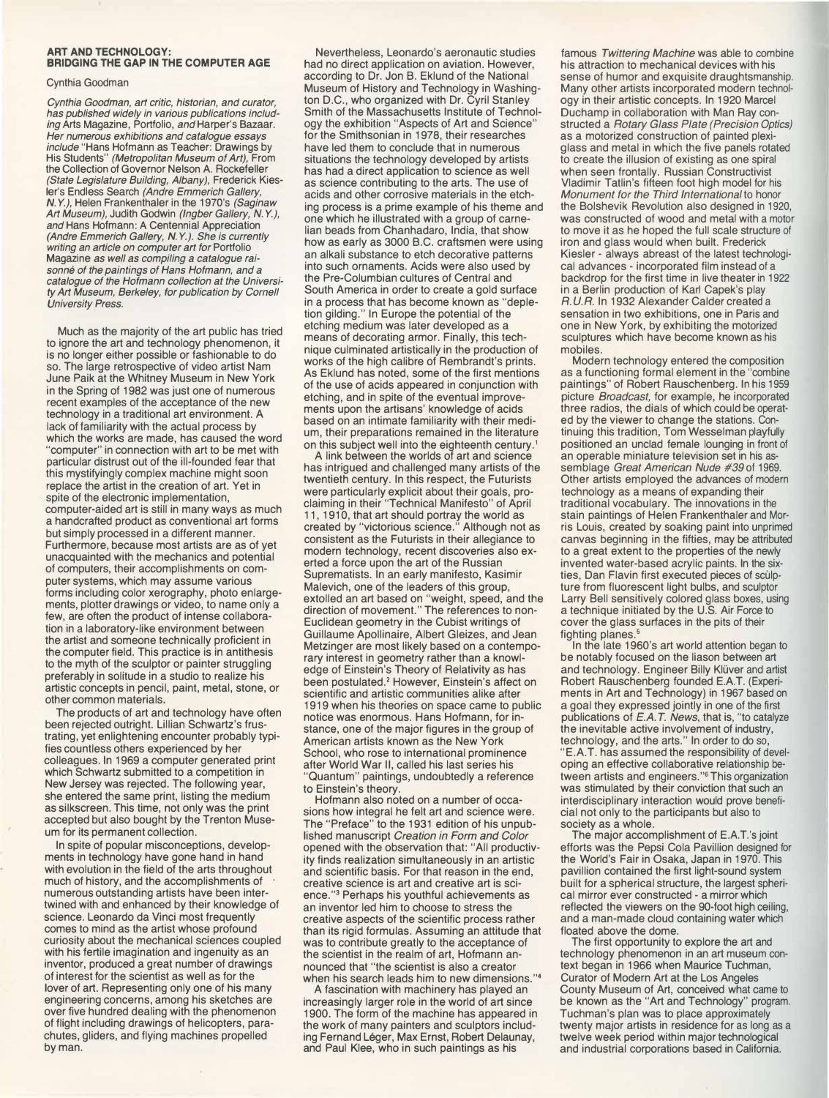## **ART AND TECHNOLOGY: BRIDGING THE GAP IN THE COMPUTER AGE**

## Cynthia Goodman

*Cynthia Goodman, art critic, historian, and curator, has published widely in various publications including* Arts Magazine, Portfolio, *and* Harper's Bazaar. *Her numerous exhibitions and catalogue essays include* "Hans Hofmann as Teacher: Drawings by His Students" *(Metropolitan Museum of Art),* From the Collection of Governor Nelson A. Rockefeller *(State Legislature Building, Albany),* Frederick Kiesler's Endless Search *(Andre Emmerich Gallery, N. Y.),* Helen Frankenthaler in the 1970's *(Saginaw Art Museum),* Judith Godwin *(Ingber Gallery, N. Y.), and* Hans Hofmann: A Centennial Appreciation *(Andre Emmerich Gallery, N. Y.). She is currently writing an article on computer art for* Portfolio Magazine *as well as compiling* a *catalogue raisonne of the paintings of Hans Hofmann, and* a *catalogue of the Hofmann collection at the University Art Museum, Berkeley, for publication by Cornell University Press.*

Much as the majority of the art public has tried to ignore the art and technology phenomenon, it is no longer either possible or fashionable to do so. The large retrospective of video artist Nam June Paik at the Whitney Museum in New York in the Spring of 1982 was just one of numerous recent examples of the acceptance of the new technology in a traditional art environment. A lack of familiarity with the actual process by which the works are made, has caused the word "computer" in connection with art to be met with particular distrust out of the ill-founded fear that this mystifyingly complex machine might soon replace the artist in the creation of art. Yet in spite of the electronic implementation, computer-aided art is still in many ways as much a handcrafted product as conventional art forms but simply processed in a different manner. Furthermore, because most artists are as of yet unacquainted with the mechanics and potential of computers, their accomplishments on computer systems, which may assume various forms including color xerography, photo enlargements, plotter drawings or video, to name only a few, are often the product of intense collaboration in a laboratory-like environment between the artist and someone technically proficient in the computer field. This practice is in antithesis to the myth of the sculptor or painter struggling preferably in solitude in a studio to realize his artistic concepts in pencil, paint, metal, stone, or other common materials.

The products of art and technology have often been rejected outright. Lillian Schwartz's frustrating, yet enlightening encounter probably typifies countless others experienced by her colleagues. In 1969 a computer generated print which Schwartz submitted to a competition in New Jersey was rejected. The following year, she entered the same print, listing the medium as silkscreen. This time, not only was the print accepted but also bought by the Trenton Museum for its permanent collection.

In spite of popular misconceptions, developments in technology have gone hand in hand with evolution in the field of the arts throughout much of history, and the accomplishments of numerous outstanding artists have been intertwined with and enhanced by their knowledge of science. Leonardo da Vinci most frequently comes to mind as the artist whose profound curiosity about the mechanical sciences coupled with his fertile imagination and ingenuity as an inventor, produced a great number of drawings of interest for the scientist as well as for the lover of art. Representing only one of his many engineering concerns, among his sketches are over five hundred dealing with the phenomenon of flight including drawings of helicopters, parachutes, gliders, and flying machines propelled by man.

Nevertheless, Leonardo's aeronautic studies had no direct application on aviation. However, according to Dr. Jon B. Eklund of the National Museum of History and Technology in Washington D.C., who organized with Dr. Cyril Stanley Smith of the Massachusetts Institute of Technology the exhibition "Aspects of Art and Science" for the Smithsonian in 1978, their researches have led them to conclude that in numerous situations the technology developed by artists has had a direct application to science as well as science contributing to the arts. The use of acids and other corrosive materials in the etching process is a prime example of his theme and one which he illustrated with a group of carnelian beads from Chanhadaro, India, that show how as early as 3000 B.C. craftsmen were using an alkali substance to etch decorative patterns into such ornaments. Acids were also used by the Pre-Columbian cultures of Central and South America in order to create a gold surface in a process that has become known as "depletion gilding." In Europe the potential of the etching medium was later developed as a means of decorating armor. Finally, this technique culminated artistically in the production of works of the high calibre of Rembrandt's prints. As Eklund has noted, some of the first mentions of the use of acids appeared in conjunction with etching, and in spite of the eventual improvements upon the artisans' knowledge of acids based on an intimate familiarity with their medium, their preparations remained in the literature on this subject well into the eighteenth century.'

A link between the worlds of art and science has intrigued and challenged many artists of the twentieth century. In this respect, the Futurists were particularly explicit about their goals, proclaiming in their "Technical Manifesto" of April 11, 1910, that art should portray the world as created by "victorious science." Although not as consistent as the Futurists in their allegiance to modern technology, recent discoveries also exerted a force upon the art of the Russian Suprematists. In an early manifesto, Kasimir Malevich, one of the leaders of this group, extolled an art based on "weight, speed, and the direction of movement." The references to non-Euclidean geometry in the Cubist writings of Guillaume Apollinaire, Albert Gleizes, and Jean Metzinger are most likely based on a contemporary interest in geometry rather than a knowledge of Einstein's Theory of Relativity as has been postulated.' However, Einstein's affect on scientific and artistic communities alike after 1919 when his theories on space came to public notice was enormous. Hans Hofmann, for instance, one of the major figures in the group of American artists known as the New York School, who rose to international prominence after World War II, called his last series his "Quantum" paintings, undoubtedly a reference to Einstein's theory.

Hofmann also noted on a number of occasions how integral he felt art and science were. The "Preface" to the 1931 edition of his unpublished manuscript *Creation in Form and Color*  opened with the observation that: "All productivity finds realization simultaneously in an artistic and scientific basis. For that reason in the end, creative science is art and creative art is science. "3 Perhaps his youthful achievements as an inventor led him to choose to stress the creative aspects of the scientific process rather than its rigid formulas. Assuming an attitude that was to contribute greatly to the acceptance of the scientist in the realm of art, Hofmann announced that "the scientist is also a creator when his search leads him to new dimensions."•

A fascination with machinery has played an increasingly larger role in the world of art since 1900. The form of the machine has appeared in the work of many painters and sculptors including Fernand Léger, Max Ernst, Robert Delaunay, and Paul Klee, who in such paintings as his

famous *Twittering Machine* was able to combine his attraction to mechanical devices with his sense of humor and exquisite draughtsmanship. Many other artists incorporated modern technology in their artistic concepts. In 1920 Marcel Duchamp in collaboration with Man Ray constructed a *Rotary Glass Plate (Precision Optics)*  as a motorized construction of painted plexiglass and metal in which the five panels rotated to create the illusion of existing as one spiral when seen frontally. Russian Constructivist Vladimir Tatlin's fifteen foot high model for his *Monument for the Third International* to honor the Bolshevik Revolution also designed in 1920, was constructed of wood and metal with a motor to move it as he hoped the full scale structure of iron and glass would when built. Frederick Kiesler - always abreast of the latest technological advances - incorporated film instead of a backdrop for the first time in live theater in 1922 in a Berlin production of Karl Capek's play *R. U.R.* In 1932 Alexander Calder created a sensation in two exhibitions, one in Paris and one in New York, by exhibiting the motorized sculptures which have become known as his mobiles.

Modern technology entered the composition as a functioning formal element in the "combine paintings" of Robert Rauschenberg. In his 1959 picture *Broadcast,* for example, he incorporated three radios, the dials of which could be operated by the viewer to change the stations. Continuing this tradition, Tom Wesselman playfully positioned an unclad female lounging in front of an operable miniature television set in his assemblage *Great American Nude #39* of 1969. Other artists employed the advances of modern technology as a means of expanding their traditional vocabulary. The innovations in the stain paintings of Helen Frankenthaler and Morris Louis, created by soaking paint into unprimed canvas beginning in the fifties, may be attributed to a great extent to the properties of the newly invented water-based acrylic paints. In the sixties, Dan Flavin first executed pieces of sculpture from fluorescent light bulbs, and sculptor Larry Bell sensitively colored glass boxes, using a technique initiated by the U.S. Air Force to cover the glass surfaces in the pits of their fighting planes.<sup>5</sup>

In the late 1960's art world attention began to be notably focused on the liason between art and technology. Engineer Billy Klüver and artist Robert Rauschenberg founded E.A.T. (Experiments in Art and Technology) in 1967 based on a goal they expressed jointly in one of the first publications of *E.A. T. News,* that is, "to catalyze the inevitable active involvement of industry, technology, and the arts." In order to do so, "E.A.T. has assumed the responsibility of developing an effective collaborative relationship between artists and engineers."**<sup>6</sup>**This organization was stimulated by their conviction that such an interdisciplinary interaction would prove beneficial not only to the participants but also to society as a whole.

The major accomplishment of E.A.T.'s joint efforts was the Pepsi Cola Pavillion designed for the World's Fair in Osaka, Japan in 1970. This pavillion contained the first light-sound system built for a spherical structure, the largest spherical mirror ever constructed - a mirror which reflected the viewers on the 90-foot high ceiling, and a man-made cloud containing water which floated above the dome.

The first opportunity to explore the art and technology phenomenon in an art museum context began in 1966 when Maurice Tuchman, Curator of Modern Art at the Los Angeles County Museum of Art, conceived what came to be known as the "Art and Technology" program. Tuchman's plan was to place approximately twenty major artists in residence for as long as a twelve week period within major technological and industrial corporations based in California.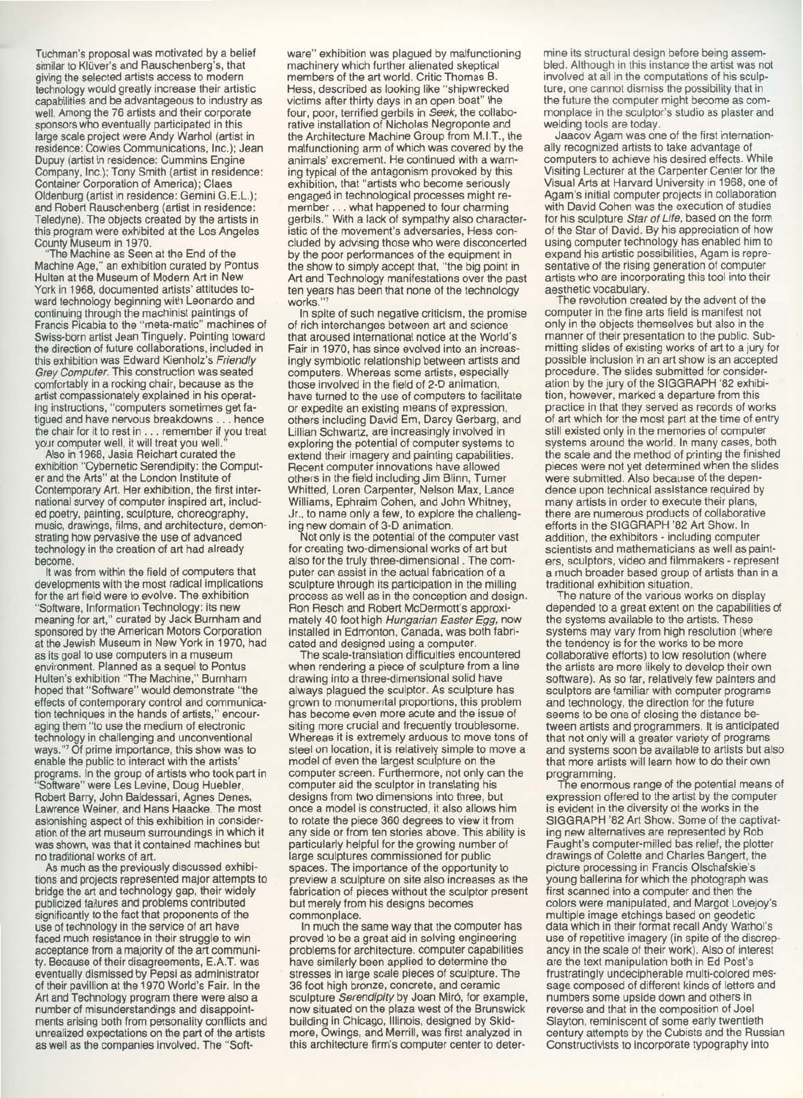Tuchman's proposal was motivated by a belief similar to Klüver's and Rauschenberg's, that giving the selected artists access to modern technology would greatly increase their artistic capabilities and be advantageous to industry as well. Among the 76 artists and their corporate sponsors who eventually participated in this large scale project were Andy Warhol (artist in residence: Cowles Communications, Inc.); Jean Dupuy (artist in residence: Cummins Engine Company, Inc.); Tony Smith (artist in residence: **Container Corporation of America); Claes** Oldenburg (artist in residence: Gemini G.E.L.); and Robert Rauschenberg (artist in residence: Teledyne). The objects created by the artists in this program were exhibited at the Los Angeles County Museum in 1970.

The Machine as Seen at the End of the Machine Age," an exhibition curated by Pontus Hulten at the Museum of Modern Art in New York in 1968, documented artists' attitudes toward technology beginning with Leonardo and continuing through the machinist paintings of Francis Picabia to the "meta-matic" machines of Swiss-born artist Jean Tinguely. Pointing toward the direction of future collaborations, included in this exhibition was Edward Kienholz's Friendly Grey Computer. This construction was seated comfortably in a rocking chair, because as the artist compassionately explained in his operating instructions, "computers sometimes get fatigued and have nervous breakdowns. hence the chair for it to rest in . . . remember if you treat<br>your computer well, it will treat you well."

Also in 1968, Jasia Reichart curated the exhibition "Cybernetic Serendipity: the Computer and the Arts" at the London Institute of Contemporary Art. Her exhibition, the first international survey of computer inspired art, included poetry, painting, sculpture, choreography,<br>music, drawings, films, and architecture, demonstrating how pervasive the use of advanced technology in the creation of art had already become.

It was from within the field of computers that developments with the most radical implications for the art field were to evolve. The exhibition "Software, Information Technology: its new meaning for art," curated by Jack Burnham and sponsored by the American Motors Corporation at the Jewish Museum in New York in 1970, had as its goal to use computers in a museum environment. Planned as a sequel to Pontus Hulten's exhibition "The Machine," Burnham hoped that "Software" would demonstrate "the effects of contemporary control and communication techniques in the hands of artists," encouraging them "to use the medium of electronic technology in challenging and unconventional ways."? Of prime importance, this show was to enable the public to interact with the artists' programs. In the group of artists who took part in 'Software" were Les Levine, Doug Huebler, Robert Barry, John Baldessari, Agnes Denes, Lawrence Weiner, and Hans Haacke. The most astonishing aspect of this exhibition in consideration of the art museum surroundings in which it was shown, was that it contained machines but no traditional works of art.

As much as the previously discussed exhibitions and projects represented major attempts to bridge the art and technology gap, their widely publicized failures and problems contributed significantly to the fact that proponents of the use of technology in the service of art have faced much resistance in their struggle to win acceptance from a majority of the art community. Because of their disagreements, E.A.T. was eventually dismissed by Pepsi as administrator of their pavillion at the 1970 World's Fair. In the Art and Technology program there were also a number of misunderstandings and disappointments arising both from personality conflicts and unrealized expectations on the part of the artists as well as the companies involved. The "Soft-

ware" exhibition was plagued by malfunctioning machinery which further alienated skeptical members of the art world. Critic Thomas B. Hess, described as looking like "shipwrecked victims after thirty days in an open boat" the four, poor, terrified gerbils in Seek, the collaborative installation of Nicholas Negroponte and the Architecture Machine Group from M.I.T., the malfunctioning arm of which was covered by the animals' excrement. He continued with a warning typical of the antagonism provoked by this exhibition, that "artists who become seriously engaged in technological processes might remember . . . what happened to four charming gerbils." With a lack of sympathy also characteristic of the movement's adversaries. Hess concluded by advising those who were disconcerted by the poor performances of the equipment in the show to simply accept that, "the big point in Art and Technology manifestations over the past ten years has been that none of the technology works."

In spite of such negative criticism, the promise of rich interchanges between art and science that aroused international notice at the World's Fair in 1970, has since evolved into an increasingly symbiotic relationship between artists and computers. Whereas some artists, especially those involved in the field of 2-D animation, have turned to the use of computers to facilitate or expedite an existing means of expression, others including David Em, Darcy Gerbarg, and Lillian Schwartz, are increasingly involved in exploring the potential of computer systems to extend their imagery and painting capabilities. Recent computer innovations have allowed others in the field including Jim Blinn, Turner Whitted, Loren Carpenter, Nelson Max, Lance Williams, Ephraim Cohen, and John Whitney, Jr., to name only a few, to explore the challenging new domain of 3-D animation.

Not only is the potential of the computer vast for creating two-dimensional works of art but also for the truly three-dimensional. The computer can assist in the actual fabrication of a sculpture through its participation in the milling process as well as in the conception and design. Ron Resch and Robert McDermott's approximately 40 foot high Hungarian Easter Egg, now installed in Edmonton, Canada, was both fabricated and designed using a computer.<br>The scale-translation difficulties encountered

when rendering a piece of sculpture from a line drawing into a three-dimensional solid have always plagued the sculptor. As sculpture has grown to monumental proportions, this problem has become even more acute and the issue of siting more crucial and frequently troublesome. Whereas it is extremely arduous to move tons of steel on location, it is relatively simple to move a model of even the largest sculpture on the computer screen. Furthermore, not only can the computer aid the sculptor in translating his designs from two dimensions into three, but once a model is constructed, it also allows him to rotate the piece 360 degrees to view it from any side or from ten stories above. This ability is particularly helpful for the growing number of large sculptures commissioned for public spaces. The importance of the opportunity to preview a sculpture on site also increases as the fabrication of pieces without the sculptor present but merely from his designs becomes commonplace.

In much the same way that the computer has proved to be a great aid in solving engineering problems for architecture, computer capabilities have similarly been applied to determine the stresses in large scale pieces of sculpture. The 36 foot high bronze, concrete, and ceramic sculpture Serendipity by Joan Miró, for example, now situated on the plaza west of the Brunswick building in Chicago, Illinois, designed by Skidmore, Owings, and Merrill, was first analyzed in this architecture firm's computer center to determine its structural design before being assembled. Although in this instance the artist was not involved at all in the computations of his sculpture, one cannot dismiss the possibility that in the future the computer might become as commonplace in the sculptor's studio as plaster and welding tools are today.

Jaacov Agam was one of the first internationally recognized artists to take advantage of computers to achieve his desired effects. While Visiting Lecturer at the Carpenter Center for the Visual Arts at Harvard University in 1968, one of Agam's initial computer projects in collaboration with David Cohen was the execution of studies for his sculpture Star of Life, based on the form of the Star of David. By his appreciation of how using computer technology has enabled him to expand his artistic possibilities, Agam is representative of the rising generation of computer artists who are incorporating this tool into their aesthetic vocabulary.

The revolution created by the advent of the computer in the fine arts field is manifest not only in the objects themselves but also in the manner of their presentation to the public. Submitting slides of existing works of art to a jury for possible inclusion in an art show is an accepted procedure. The slides submitted for consideration by the jury of the SIGGRAPH '82 exhibition, however, marked a departure from this practice in that they served as records of works of art which for the most part at the time of entry still existed only in the memories of computer systems around the world. In many cases, both the scale and the method of printing the finished pieces were not yet determined when the slides were submitted. Also because of the dependence upon technical assistance required by many artists in order to execute their plans, there are numerous products of collaborative efforts in the SIGGRAPH '82 Art Show. In addition, the exhibitors - including computer scientists and mathematicians as well as painters, sculptors, video and filmmakers - represent a much broader based group of artists than in a traditional exhibition situation.

The nature of the various works on display depended to a great extent on the capabilities of the systems available to the artists. These systems may vary from high resolution (where the tendency is for the works to be more collaborative efforts) to low resolution (where the artists are more likely to develop their own software). As so far, relatively few painters and sculptors are familiar with computer programs and technology, the direction for the future seems to be one of closing the distance between artists and programmers. It is anticipated that not only will a greater variety of programs and systems soon be available to artists but also that more artists will learn how to do their own programming.

The enormous range of the potential means of expression offered to the artist by the computer is evident in the diversity of the works in the SIGGRAPH '82 Art Show. Some of the captivating new alternatives are represented by Rob Faught's computer-milled bas relief, the plotter drawings of Colette and Charles Bangert, the picture processing in Francis Olschafskie's young ballerina for which the photograph was first scanned into a computer and then the colors were manipulated, and Margot Lovejoy's multiple image etchings based on geodetic data which in their format recall Andy Warhol's use of repetitive imagery (in spite of the discrepancy in the scale of their work). Also of interest are the text manipulation both in Ed Post's frustratingly undecipherable multi-colored message composed of different kinds of letters and numbers some upside down and others in reverse and that in the composition of Joel Slayton, reminiscent of some early twentieth century attempts by the Cubists and the Russian Constructivists to incorporate typography into